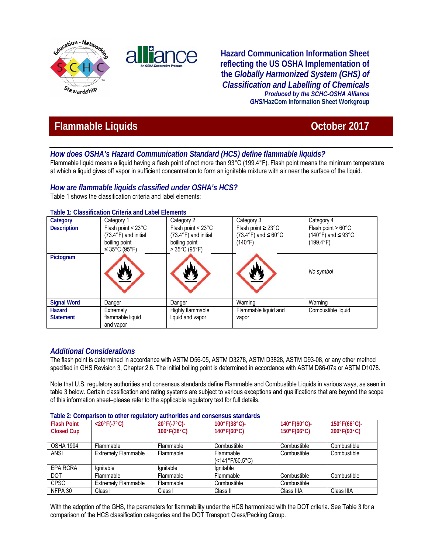



**Hazard Communication Information Sheet reflecting the US OSHA Implementation of the** *Globally Harmonized System (GHS) of Classification and Labelling of Chemicals Produced by the SCHC-OSHA Alliance GHS***/HazCom Information Sheet Workgroup**

# **Flammable Liquids Contract Contract Contract Contract Contract Contract Contract Contract Contract Contract Contract Contract Contract Contract Contract Contract Contract Contract Contract Contract Contract Contract Con**

# *How does OSHA's Hazard Communication Standard (HCS) define flammable liquids?*

Flammable liquid means a liquid having a flash point of not more than 93°C (199.4°F). Flash point means the minimum temperature at which a liquid gives off vapor in sufficient concentration to form an ignitable mixture with air near the surface of the liquid.

# *How are flammable liquids classified under OSHA's HCS?*

Table 1 shows the classification criteria and label elements:

| Category           | Category 1                                                                                 | Category 2                                                                                                             | Category 3                                                                     | Category 4                                                                    |
|--------------------|--------------------------------------------------------------------------------------------|------------------------------------------------------------------------------------------------------------------------|--------------------------------------------------------------------------------|-------------------------------------------------------------------------------|
| <b>Description</b> | Flash point < 23°C<br>$(73.4^{\circ}F)$ and initial<br>boiling point<br>$\leq$ 35°C (95°F) | Flash point $<$ 23 $^{\circ}$ C<br>$(73.4^{\circ}F)$ and initial<br>boiling point<br>$>35^{\circ}$ C (95 $^{\circ}$ F) | Flash point $\geq$ 23°C<br>$(73.4^{\circ}F)$ and $\leq 60^{\circ}C$<br>(140°F) | Flash point $> 60^{\circ}$ C<br>(140°F) and $\leq$ 93°C<br>$(199.4^{\circ}F)$ |
| Pictogram          |                                                                                            |                                                                                                                        |                                                                                | No symbol                                                                     |
| <b>Signal Word</b> | Danger                                                                                     | Danger                                                                                                                 | Warning                                                                        | Warning                                                                       |
| Hazard             | Extremely                                                                                  | Highly flammable                                                                                                       | Flammable liquid and                                                           | Combustible liquid                                                            |
| <b>Statement</b>   | flammable liquid<br>and vapor                                                              | liquid and vapor                                                                                                       | vapor                                                                          |                                                                               |

### **Table 1: Classification Criteria and Label Elements**

## *Additional Considerations*

The flash point is determined in accordance with ASTM D56-05, ASTM D3278, ASTM D3828, ASTM D93-08, or any other method specified in GHS Revision 3, Chapter 2.6. The initial boiling point is determined in accordance with ASTM D86-07a or ASTM D1078.

Note that U.S. regulatory authorities and consensus standards define Flammable and Combustible Liquids in various ways, as seen in table 3 below. Certain classification and rating systems are subject to various exceptions and qualifications that are beyond the scope of this information sheet–please refer to the applicable regulatory text for full details.

|  | Table 2: Comparison to other regulatory authorities and consensus standards |
|--|-----------------------------------------------------------------------------|
|--|-----------------------------------------------------------------------------|

| <b>Flash Point</b> | <u>rapio 2. Obriganobri to othor rogalator</u><br>$<$ 20 $\degree$ F(-7 $\degree$ C) | $20^{\circ}F(-7^{\circ}C)$ -     | uuniviinaa uriu uuriaanaa aminuu ua<br>$100^{\circ}F(38^{\circ}C)$ - | $140^{\circ}F(60^{\circ}C)$ - | $150^{\circ}F(66^{\circ}C)$ -    |
|--------------------|--------------------------------------------------------------------------------------|----------------------------------|----------------------------------------------------------------------|-------------------------------|----------------------------------|
|                    |                                                                                      |                                  |                                                                      |                               |                                  |
| <b>Closed Cup</b>  |                                                                                      | $100^{\circ}$ F(38 $^{\circ}$ C) | $140^{\circ}F(60^{\circ}C)$                                          | $150^{\circ}F(66^{\circ}C)$   | $200^{\circ}$ F(93 $^{\circ}$ C) |
|                    |                                                                                      |                                  |                                                                      |                               |                                  |
| <b>OSHA 1994</b>   | Flammable                                                                            | Flammable                        | Combustible                                                          | Combustible                   | Combustible                      |
| <b>ANSI</b>        | <b>Extremely Flammable</b>                                                           | Flammable                        | Flammable                                                            | Combustible                   | Combustible                      |
|                    |                                                                                      |                                  | $($ < 141°F/60.5°C)                                                  |                               |                                  |
| EPA RCRA           | lgnitable                                                                            | lgnitable                        | lgnitable                                                            |                               |                                  |
| <b>DOT</b>         | Flammable                                                                            | Flammable                        | Flammable                                                            | Combustible                   | Combustible                      |
| <b>CPSC</b>        | <b>Extremely Flammable</b>                                                           | Flammable                        | Combustible                                                          | Combustible                   |                                  |
| NFPA 30            | Class I                                                                              | Class I                          | Class II                                                             | Class IIIA                    | Class IIIA                       |

With the adoption of the GHS, the parameters for flammability under the HCS harmonized with the DOT criteria. See Table 3 for a comparison of the HCS classification categories and the DOT Transport Class/Packing Group.